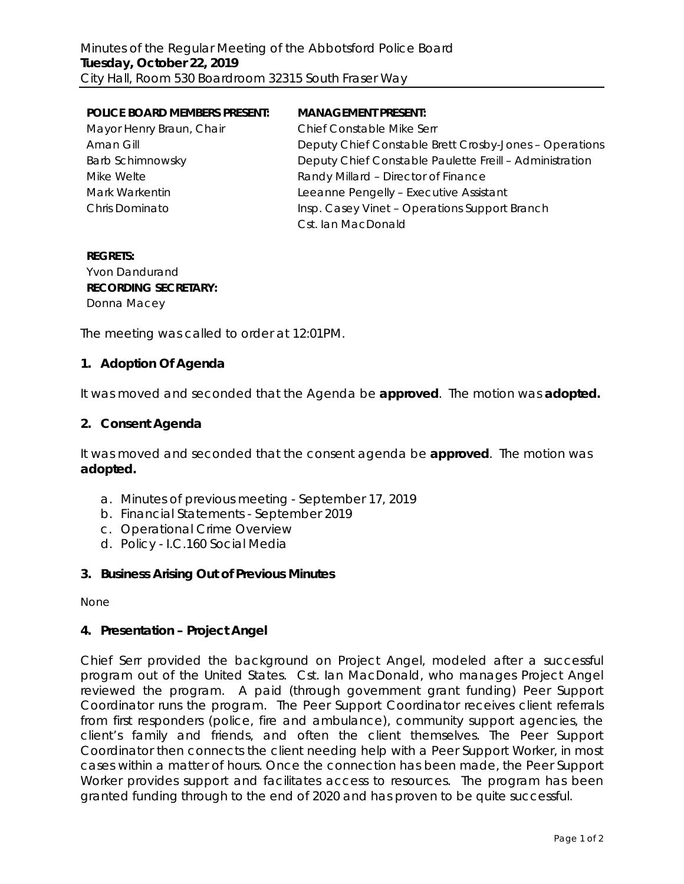| <b>POLICE BOARD MEMBERS PRESENT:</b> | <b>MANAGEMENT PRESENT:</b>                              |
|--------------------------------------|---------------------------------------------------------|
| Mayor Henry Braun, Chair             | <b>Chief Constable Mike Serr</b>                        |
| Aman Gill                            | Deputy Chief Constable Brett Crosby-Jones - Operations  |
| Barb Schimnowsky                     | Deputy Chief Constable Paulette Freill - Administration |
| Mike Welte                           | Randy Millard - Director of Finance                     |
| Mark Warkentin                       | Leeanne Pengelly - Executive Assistant                  |
| Chris Dominato                       | Insp. Casey Vinet - Operations Support Branch           |
|                                      | Cst. Ian MacDonald                                      |

## **REGRETS:** Yvon Dandurand **RECORDING SECRETARY:** Donna Macey

The meeting was called to order at 12:01PM.

## **1. Adoption Of Agenda**

It was moved and seconded that the Agenda be **approved**.The motion was **adopted.**

### **2. Consent Agenda**

It was moved and seconded that the consent agenda be **approved**.The motion was **adopted.**

- a. Minutes of previous meeting September 17, 2019
- b. Financial Statements September 2019
- c. Operational Crime Overview
- d. Policy I.C.160 Social Media

#### **3. Business Arising Out of Previous Minutes**

None

#### **4. Presentation – Project Angel**

Chief Serr provided the background on Project Angel, modeled after a successful program out of the United States. Cst. Ian MacDonald, who manages Project Angel reviewed the program. A paid (through government grant funding) Peer Support Coordinator runs the program. The Peer Support Coordinator receives client referrals from first responders (police, fire and ambulance), community support agencies, the client's family and friends, and often the client themselves. The Peer Support Coordinator then connects the client needing help with a Peer Support Worker, in most cases within a matter of hours. Once the connection has been made, the Peer Support Worker provides support and facilitates access to resources. The program has been granted funding through to the end of 2020 and has proven to be quite successful.